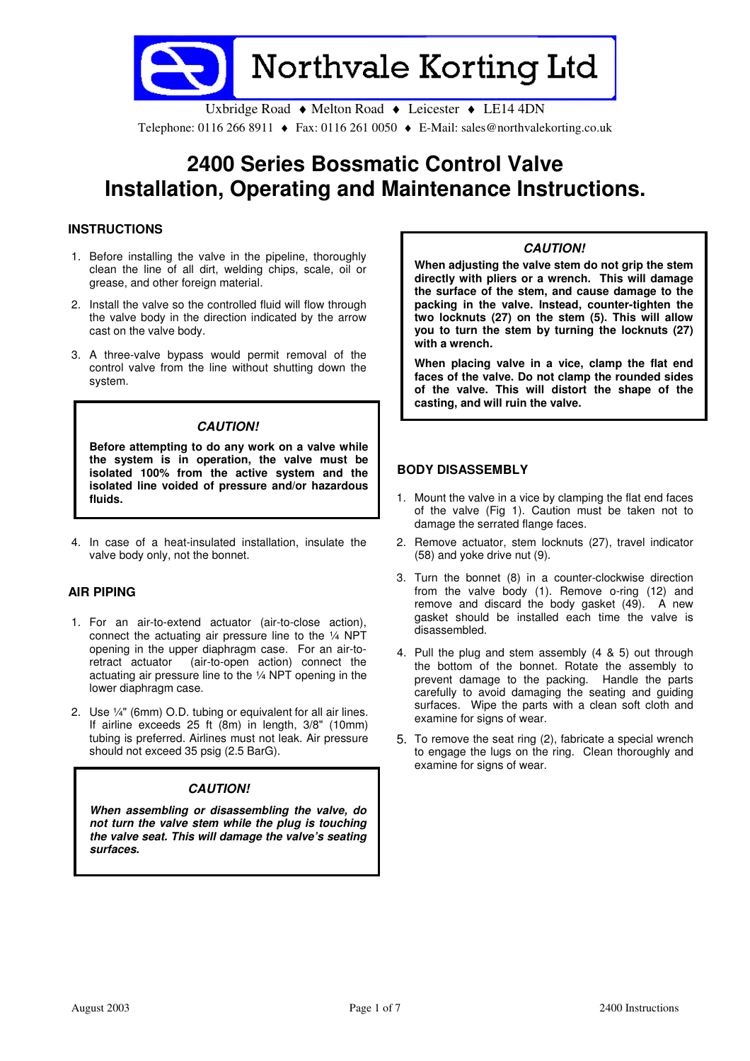

Uxbridge Road ♦ Melton Road ♦ Leicester ♦ LE14 4DN Telephone: 0116 266 8911 ♦ Fax: 0116 261 0050 ♦ E-Mail: sales@northvalekorting.co.uk

# 2400 Series Bossmatic Control Valve Installation, Operating and Maintenance Instructions.

## **INSTRUCTIONS**

- 1. Before installing the valve in the pipeline, thoroughly clean the line of all dirt, welding chips, scale, oil or grease, and other foreign material.
- 2. Install the valve so the controlled fluid will flow through the valve body in the direction indicated by the arrow cast on the valve body.
- 3. A three-valve bypass would permit removal of the control valve from the line without shutting down the system.

### CAUTION!

Before attempting to do any work on a valve while the system is in operation, the valve must be isolated 100% from the active system and the isolated line voided of pressure and/or hazardous fluids.

4. In case of a heat-insulated installation, insulate the valve body only, not the bonnet.

#### AIR PIPING

- 1. For an air-to-extend actuator (air-to-close action), connect the actuating air pressure line to the ¼ NPT opening in the upper diaphragm case. For an air-toretract actuator (air-to-open action) connect the actuating air pressure line to the ¼ NPT opening in the lower diaphragm case.
- 2. Use ¼" (6mm) O.D. tubing or equivalent for all air lines. If airline exceeds 25 ft (8m) in length, 3/8" (10mm) tubing is preferred. Airlines must not leak. Air pressure should not exceed 35 psig (2.5 BarG).

## CAUTION!

When assembling or disassembling the valve, do not turn the valve stem while the plug is touching the valve seat. This will damage the valve's seating surfaces.

### CAUTION!

When adjusting the valve stem do not grip the stem directly with pliers or a wrench. This will damage the surface of the stem, and cause damage to the packing in the valve. Instead, counter-tighten the two locknuts (27) on the stem (5). This will allow you to turn the stem by turning the locknuts (27) with a wrench.

When placing valve in a vice, clamp the flat end faces of the valve. Do not clamp the rounded sides of the valve. This will distort the shape of the casting, and will ruin the valve.

#### BODY DISASSEMBLY

- 1. Mount the valve in a vice by clamping the flat end faces of the valve (Fig 1). Caution must be taken not to damage the serrated flange faces.
- 2. Remove actuator, stem locknuts (27), travel indicator (58) and yoke drive nut (9).
- 3. Turn the bonnet (8) in a counter-clockwise direction from the valve body (1). Remove o-ring (12) and remove and discard the body gasket (49). A new gasket should be installed each time the valve is disassembled.
- 4. Pull the plug and stem assembly (4 & 5) out through the bottom of the bonnet. Rotate the assembly to prevent damage to the packing. Handle the parts carefully to avoid damaging the seating and guiding surfaces. Wipe the parts with a clean soft cloth and examine for signs of wear.
- 5. To remove the seat ring (2), fabricate a special wrench to engage the lugs on the ring. Clean thoroughly and examine for signs of wear.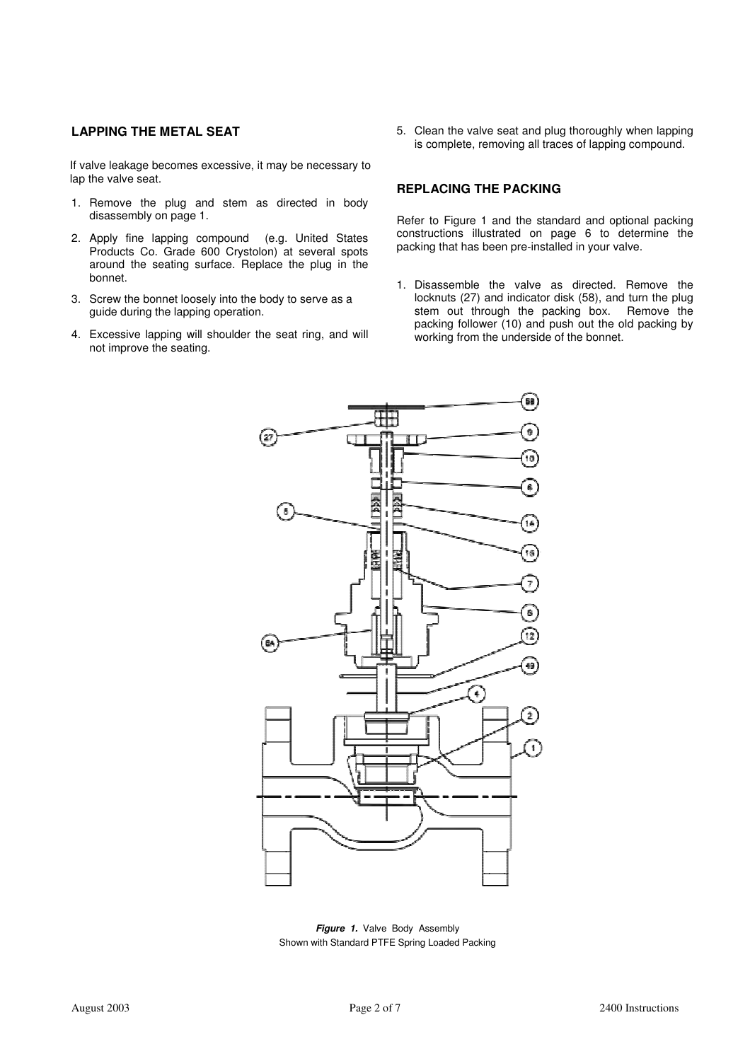## LAPPING THE METAL SEAT

If valve leakage becomes excessive, it may be necessary to lap the valve seat.

- 1. Remove the plug and stem as directed in body disassembly on page 1.
- 2. Apply fine lapping compound (e.g. United States Products Co. Grade 600 Crystolon) at several spots around the seating surface. Replace the plug in the bonnet.
- 3. Screw the bonnet loosely into the body to serve as a guide during the lapping operation.
- 4. Excessive lapping will shoulder the seat ring, and will not improve the seating.

5. Clean the valve seat and plug thoroughly when lapping is complete, removing all traces of lapping compound.

#### REPLACING THE PACKING

Refer to Figure 1 and the standard and optional packing constructions illustrated on page 6 to determine the packing that has been pre-installed in your valve.

1. Disassemble the valve as directed. Remove the locknuts (27) and indicator disk (58), and turn the plug stem out through the packing box. Remove the packing follower (10) and push out the old packing by working from the underside of the bonnet.



Figure 1. Valve Body Assembly Shown with Standard PTFE Spring Loaded Packing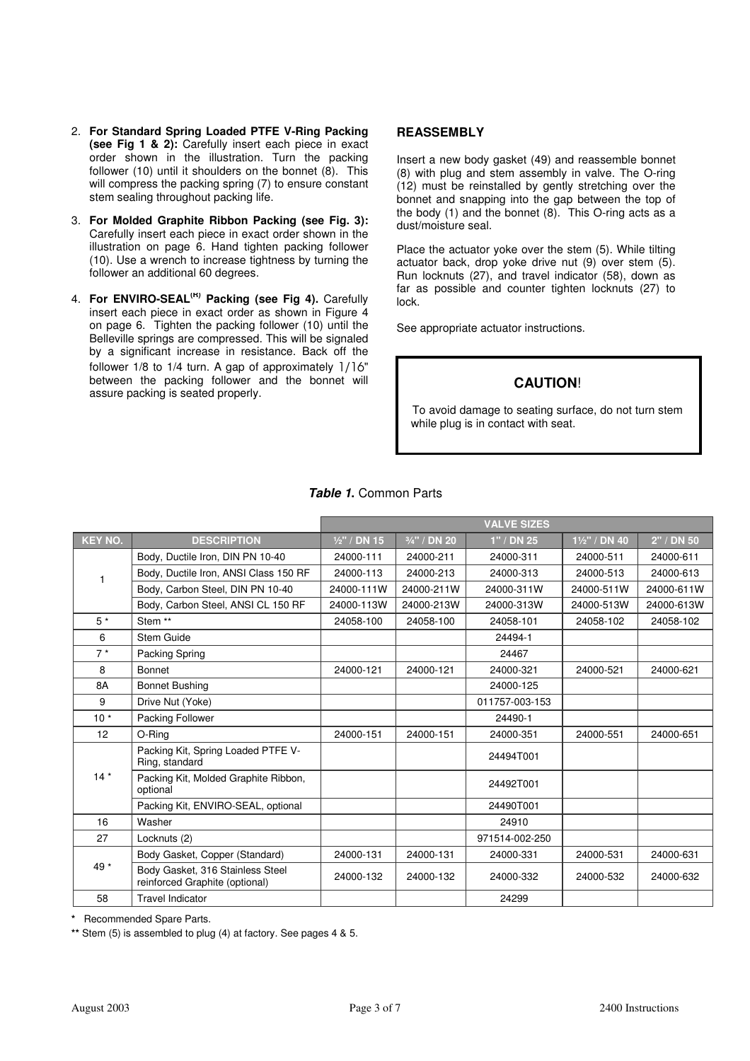- 2. For Standard Spring Loaded PTFE V-Ring Packing (see Fig 1 & 2): Carefully insert each piece in exact order shown in the illustration. Turn the packing follower (10) until it shoulders on the bonnet (8). This will compress the packing spring (7) to ensure constant stem sealing throughout packing life.
- 3. For Molded Graphite Ribbon Packing (see Fig. 3): Carefully insert each piece in exact order shown in the illustration on page 6. Hand tighten packing follower (10). Use a wrench to increase tightness by turning the follower an additional 60 degrees.
- 4. For ENVIRO-SEAL<sup>(R)</sup> Packing (see Fig 4). Carefully insert each piece in exact order as shown in Figure 4 on page 6. Tighten the packing follower (10) until the Belleville springs are compressed. This will be signaled by a significant increase in resistance. Back off the follower 1/8 to 1/4 turn. A gap of approximately 1/16" between the packing follower and the bonnet will assure packing is seated properly.

#### **REASSEMBLY**

Insert a new body gasket (49) and reassemble bonnet (8) with plug and stem assembly in valve. The O-ring (12) must be reinstalled by gently stretching over the bonnet and snapping into the gap between the top of the body (1) and the bonnet (8). This O-ring acts as a dust/moisture seal.

Place the actuator yoke over the stem (5). While tilting actuator back, drop yoke drive nut (9) over stem (5). Run locknuts (27), and travel indicator (58), down as far as possible and counter tighten locknuts (27) to lock.

See appropriate actuator instructions.

# CAUTION!

To avoid damage to seating surface, do not turn stem while plug is in contact with seat.

|                |                                                                    | <b>VALVE SIZES</b> |              |                |               |            |  |
|----------------|--------------------------------------------------------------------|--------------------|--------------|----------------|---------------|------------|--|
| <b>KEY NO.</b> | <b>DESCRIPTION</b>                                                 | $1/2$ " / DN 15    | 3/4" / DN 20 | $1"$ / DN 25   | 11/2" / DN 40 | 2" / DN 50 |  |
|                | Body, Ductile Iron, DIN PN 10-40                                   | 24000-111          | 24000-211    | 24000-311      | 24000-511     | 24000-611  |  |
| 1              | Body, Ductile Iron, ANSI Class 150 RF                              | 24000-113          | 24000-213    | 24000-313      | 24000-513     | 24000-613  |  |
|                | Body, Carbon Steel, DIN PN 10-40                                   | 24000-111W         | 24000-211W   | 24000-311W     | 24000-511W    | 24000-611W |  |
|                | Body, Carbon Steel, ANSI CL 150 RF                                 | 24000-113W         | 24000-213W   | 24000-313W     | 24000-513W    | 24000-613W |  |
| $5*$           | Stem **                                                            | 24058-100          | 24058-100    | 24058-101      | 24058-102     | 24058-102  |  |
| 6              | Stem Guide                                                         |                    |              | 24494-1        |               |            |  |
| $7*$           | Packing Spring                                                     |                    |              | 24467          |               |            |  |
| 8              | Bonnet                                                             | 24000-121          | 24000-121    | 24000-321      | 24000-521     | 24000-621  |  |
| 8A             | <b>Bonnet Bushing</b>                                              |                    |              | 24000-125      |               |            |  |
| 9              | Drive Nut (Yoke)                                                   |                    |              | 011757-003-153 |               |            |  |
| $10*$          | Packing Follower                                                   |                    |              | 24490-1        |               |            |  |
| 12             | O-Ring                                                             | 24000-151          | 24000-151    | 24000-351      | 24000-551     | 24000-651  |  |
|                | Packing Kit, Spring Loaded PTFE V-<br>Ring, standard               |                    |              | 24494T001      |               |            |  |
| $14*$          | Packing Kit, Molded Graphite Ribbon,<br>optional                   |                    |              | 24492T001      |               |            |  |
|                | Packing Kit, ENVIRO-SEAL, optional                                 |                    |              | 24490T001      |               |            |  |
| 16             | Washer                                                             |                    |              | 24910          |               |            |  |
| 27             | Locknuts (2)                                                       |                    |              | 971514-002-250 |               |            |  |
|                | Body Gasket, Copper (Standard)                                     | 24000-131          | 24000-131    | 24000-331      | 24000-531     | 24000-631  |  |
| 49 *           | Body Gasket, 316 Stainless Steel<br>reinforced Graphite (optional) | 24000-132          | 24000-132    | 24000-332      | 24000-532     | 24000-632  |  |
| 58             | <b>Travel Indicator</b>                                            |                    |              | 24299          |               |            |  |

Table 1. Common Parts

\* Recommended Spare Parts.

\*\* Stem (5) is assembled to plug (4) at factory. See pages 4 & 5.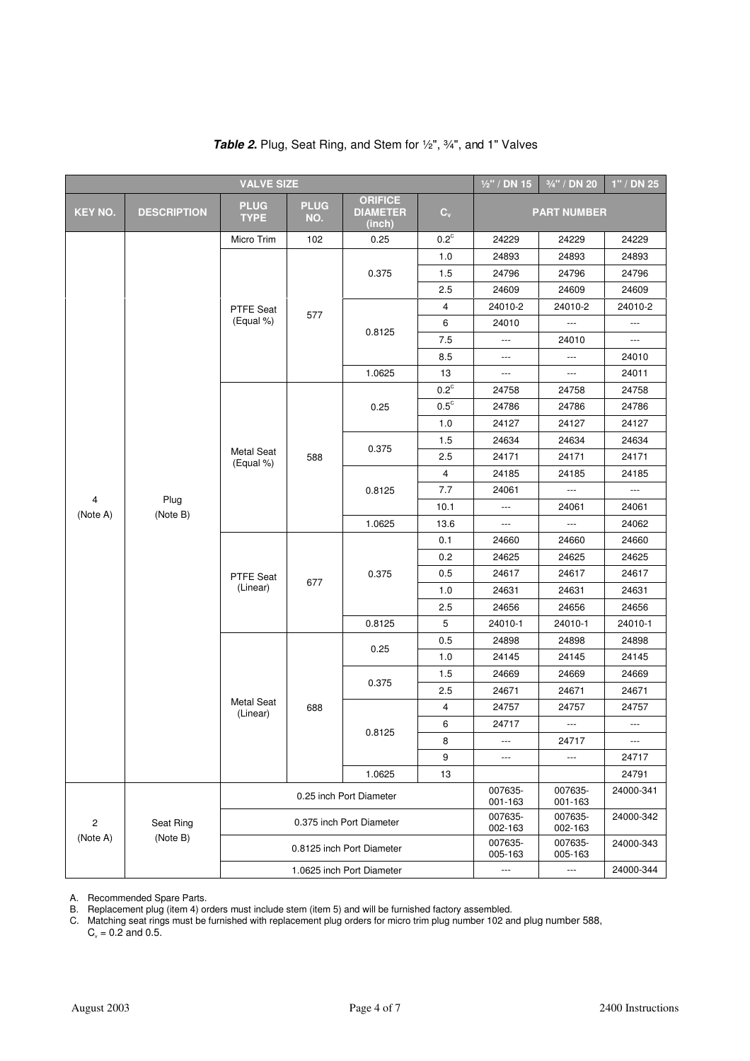| <b>VALVE SIZE</b> |                    |                                |                    |                                             |                           | $1/2$ " / DN 15          | 3/4" / DN 20             | $1"$ / DN 25             |
|-------------------|--------------------|--------------------------------|--------------------|---------------------------------------------|---------------------------|--------------------------|--------------------------|--------------------------|
| <b>KEY NO.</b>    | <b>DESCRIPTION</b> | <b>PLUG</b><br><b>TYPE</b>     | <b>PLUG</b><br>NO. | <b>ORIFICE</b><br><b>DIAMETER</b><br>(inch) | $\mathbf{C}_{\mathsf{v}}$ |                          | <b>PART NUMBER</b>       |                          |
|                   |                    | Micro Trim                     | 102                | 0.25                                        | $0.2^{\circ}$             | 24229                    | 24229                    | 24229                    |
|                   |                    |                                |                    | 0.375                                       | 1.0                       | 24893                    | 24893                    | 24893                    |
|                   |                    |                                |                    |                                             | 1.5                       | 24796                    | 24796                    | 24796                    |
|                   |                    |                                |                    |                                             | 2.5                       | 24609                    | 24609                    | 24609                    |
|                   |                    | <b>PTFE Seat</b>               |                    |                                             | 4                         | 24010-2                  | 24010-2                  | 24010-2                  |
|                   |                    | (Equal %)                      | 577                |                                             | 6                         | 24010                    | $\hspace{0.05cm} \ldots$ | $\overline{\phantom{a}}$ |
|                   |                    |                                |                    | 0.8125                                      | 7.5                       | $\overline{\phantom{a}}$ | 24010                    | $\overline{\phantom{a}}$ |
|                   |                    |                                |                    |                                             | 8.5                       | $\overline{\phantom{a}}$ | ---                      | 24010                    |
|                   |                    |                                |                    | 1.0625                                      | 13                        | $\hspace{0.05cm} \ldots$ | $\qquad \qquad - -$      | 24011                    |
|                   |                    |                                |                    |                                             | $0.2^{\circ}$             | 24758                    | 24758                    | 24758                    |
|                   |                    |                                |                    | 0.25                                        | $0.5^{\circ}$             | 24786                    | 24786                    | 24786                    |
|                   |                    |                                |                    |                                             | 1.0                       | 24127                    | 24127                    | 24127                    |
|                   |                    |                                |                    |                                             | 1.5                       | 24634                    | 24634                    | 24634                    |
| 4<br>(Note A)     | Plug<br>(Note B)   | <b>Metal Seat</b><br>(Equal %) | 588                | 0.375                                       | 2.5                       | 24171                    | 24171                    | 24171                    |
|                   |                    |                                |                    | 0.8125                                      | $\overline{4}$            | 24185                    | 24185                    | 24185                    |
|                   |                    |                                |                    |                                             | 7.7                       | 24061                    | $\hspace{0.05cm} \ldots$ | $\hspace{0.05cm} \ldots$ |
|                   |                    |                                |                    |                                             | 10.1                      | $\overline{\phantom{a}}$ | 24061                    | 24061                    |
|                   |                    |                                |                    | 1.0625                                      | 13.6                      | $\overline{a}$           | $\overline{\phantom{a}}$ | 24062                    |
|                   |                    | PTFE Seat<br>(Linear)          |                    | 0.375                                       | 0.1                       | 24660                    | 24660                    | 24660                    |
|                   |                    |                                |                    |                                             | 0.2                       | 24625                    | 24625                    | 24625                    |
|                   |                    |                                |                    |                                             | 0.5                       | 24617                    | 24617                    | 24617                    |
|                   |                    |                                | 677                |                                             | 1.0                       | 24631                    | 24631                    | 24631                    |
|                   |                    |                                |                    |                                             | 2.5                       | 24656                    | 24656                    | 24656                    |
|                   |                    |                                |                    | 0.8125                                      | 5                         | 24010-1                  | 24010-1                  | 24010-1                  |
|                   |                    |                                |                    | 0.25                                        | 0.5                       | 24898                    | 24898                    | 24898                    |
|                   |                    |                                |                    |                                             | 1.0                       | 24145                    | 24145                    | 24145                    |
|                   |                    |                                |                    |                                             | 1.5                       | 24669                    | 24669                    | 24669                    |
|                   |                    |                                |                    | 0.375                                       | 2.5                       | 24671                    | 24671                    | 24671                    |
|                   |                    | <b>Metal Seat</b><br>(Linear)  | 688                |                                             | 4                         | 24757                    | 24757                    | 24757                    |
|                   |                    |                                |                    |                                             | 6                         | 24717                    | $\hspace{0.05cm} \ldots$ | $\overline{\phantom{a}}$ |
|                   |                    |                                |                    | 0.8125                                      | 8                         | ---                      | 24717                    | $\overline{\phantom{a}}$ |
|                   |                    |                                |                    |                                             | 9                         | ---                      | ---                      | 24717                    |
|                   |                    |                                |                    | 1.0625                                      | 13                        |                          |                          | 24791                    |
|                   |                    |                                |                    | 0.25 inch Port Diameter                     |                           | 007635-<br>001-163       | 007635-<br>001-163       | 24000-341                |
| 2                 | Seat Ring          |                                |                    | 0.375 inch Port Diameter                    |                           | 007635-<br>002-163       | 007635-<br>002-163       | 24000-342                |
| (Note A)          | (Note B)           |                                |                    | 0.8125 inch Port Diameter                   |                           | 007635-<br>005-163       | 007635-<br>005-163       | 24000-343                |
|                   |                    | 1.0625 inch Port Diameter      |                    |                                             |                           | $\overline{\phantom{a}}$ | ---                      | 24000-344                |

# Table 2. Plug, Seat Ring, and Stem for  $\frac{1}{2}$ ,  $\frac{3}{4}$ , and 1" Valves

A. Recommended Spare Parts.

B. Replacement plug (item 4) orders must include stem (item 5) and will be furnished factory assembled.

C. Matching seat rings must be furnished with replacement plug orders for micro trim plug number 102 and plug number 588,  $C_v = 0.2$  and 0.5.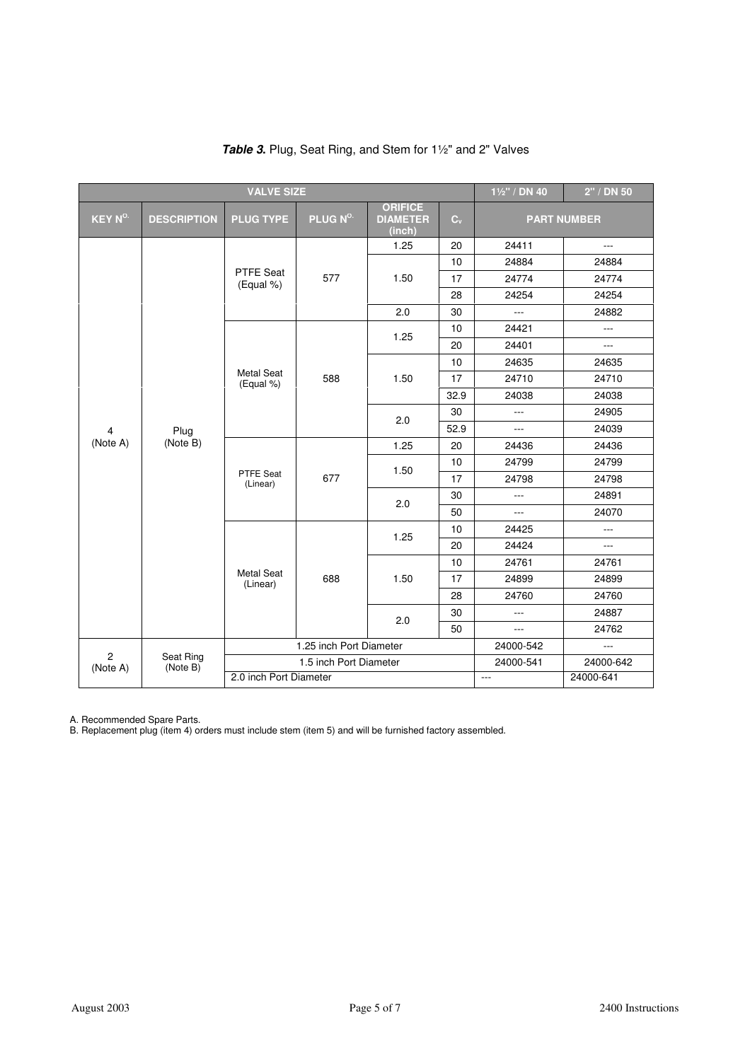| <b>VALVE SIZE</b>          |                       |                                |                         |                                             | 11/2" / DN 40 | 2" / DN 50     |                    |
|----------------------------|-----------------------|--------------------------------|-------------------------|---------------------------------------------|---------------|----------------|--------------------|
| <b>KEY N<sup>O</sup></b>   | <b>DESCRIPTION</b>    | <b>PLUG TYPE</b>               | PLUG N <sup>o.</sup>    | <b>ORIFICE</b><br><b>DIAMETER</b><br>(inch) | $C_v$         |                | <b>PART NUMBER</b> |
|                            |                       |                                |                         | 1.25                                        | 20            | 24411          | $\overline{a}$     |
|                            |                       |                                |                         |                                             | 10            | 24884          | 24884              |
|                            |                       | <b>PTFE Seat</b><br>(Equal %)  | 577                     | 1.50                                        | 17            | 24774          | 24774              |
|                            |                       |                                |                         |                                             | 28            | 24254          | 24254              |
|                            |                       |                                |                         | 2.0                                         | 30            | ---            | 24882              |
|                            |                       |                                |                         |                                             | 10            | 24421          | $\overline{a}$     |
|                            |                       |                                |                         | 1.25                                        | 20            | 24401          | $\overline{a}$     |
|                            |                       |                                |                         |                                             | 10            | 24635          | 24635              |
| 4                          | Plug<br>(Note B)      | <b>Metal Seat</b><br>(Equal %) | 588                     | 1.50                                        | 17            | 24710          | 24710              |
|                            |                       |                                |                         |                                             | 32.9          | 24038          | 24038              |
|                            |                       |                                |                         | 2.0                                         | 30            | $\overline{a}$ | 24905              |
|                            |                       |                                |                         |                                             | 52.9          | $\overline{a}$ | 24039              |
| (Note A)                   |                       | PTFE Seat<br>(Linear)          | 677                     | 1.25                                        | 20            | 24436          | 24436              |
|                            |                       |                                |                         | 1.50                                        | 10            | 24799          | 24799              |
|                            |                       |                                |                         |                                             | 17            | 24798          | 24798              |
|                            |                       |                                |                         | 2.0                                         | 30            | $\overline{a}$ | 24891              |
|                            |                       |                                |                         |                                             | 50            | $\overline{a}$ | 24070              |
|                            |                       |                                |                         | 1.25                                        | 10            | 24425          | $\overline{a}$     |
|                            |                       |                                |                         |                                             | 20            | 24424          | $\overline{a}$     |
|                            |                       |                                |                         |                                             | 10            | 24761          | 24761              |
|                            |                       | <b>Metal Seat</b><br>(Linear)  | 688                     | 1.50                                        | 17            | 24899          | 24899              |
|                            |                       |                                |                         |                                             | 28            | 24760          | 24760              |
|                            |                       |                                |                         | 2.0                                         | 30            | $\overline{a}$ | 24887              |
|                            |                       |                                |                         |                                             | 50            | ---            | 24762              |
|                            |                       |                                | 1.25 inch Port Diameter |                                             |               | 24000-542      | $\overline{a}$     |
| $\overline{c}$<br>(Note A) | Seat Ring<br>(Note B) |                                | 1.5 inch Port Diameter  |                                             |               | 24000-541      | 24000-642          |
|                            |                       | 2.0 inch Port Diameter         |                         |                                             |               | $\overline{a}$ | 24000-641          |

| <b>Table 3.</b> Plug, Seat Ring, and Stem for 1 <sup>1</sup> / <sub>2</sub> " and 2" Valves |
|---------------------------------------------------------------------------------------------|
|---------------------------------------------------------------------------------------------|

A. Recommended Spare Parts.

B. Replacement plug (item 4) orders must include stem (item 5) and will be furnished factory assembled.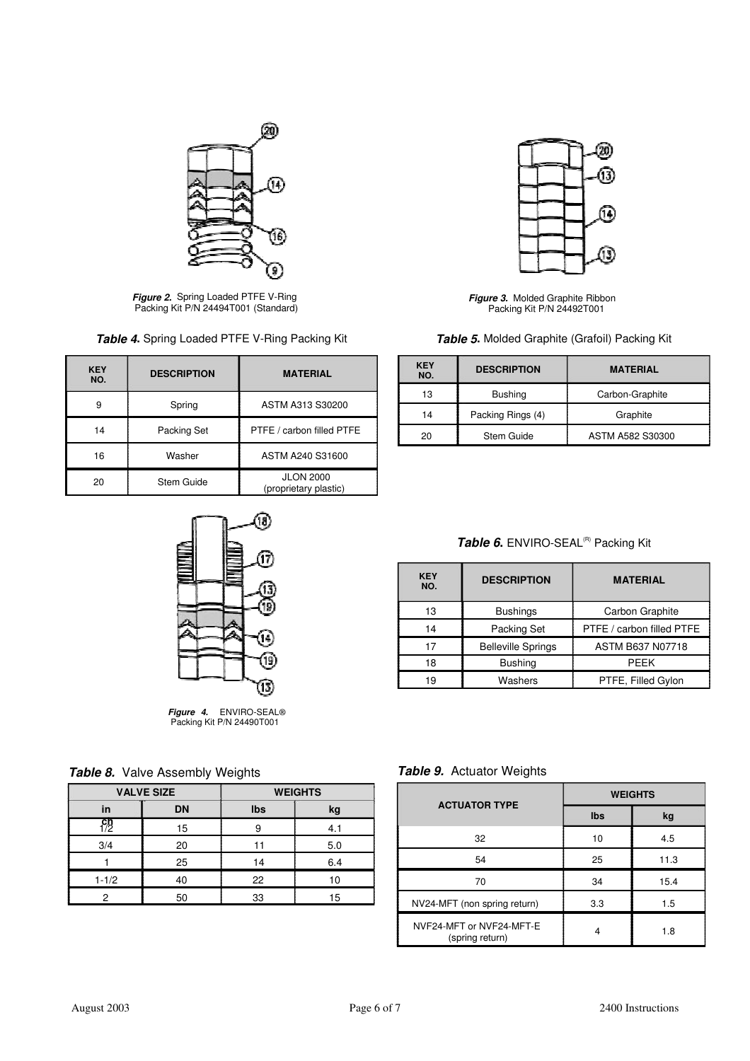

**Figure 2.** Spring Loaded PTFE V-Ring Packing Kit P/N 24494T001 (Standard)

| Table 4. Spring Loaded PTFE V-Ring Packing Kit |  |  |  |  |
|------------------------------------------------|--|--|--|--|
|------------------------------------------------|--|--|--|--|

| <b>KEY</b><br>NO. | <b>DESCRIPTION</b> | <b>MATERIAL</b>                           |  |  |
|-------------------|--------------------|-------------------------------------------|--|--|
| 9                 | Spring             | ASTM A313 S30200                          |  |  |
| 14                | Packing Set        | PTFE / carbon filled PTFE                 |  |  |
| 16                | Washer             | ASTM A240 S31600                          |  |  |
| 20                | Stem Guide         | <b>JLON 2000</b><br>(proprietary plastic) |  |  |



Figure 4. ENVIRO-SEAL®<br>Packing Kit P/N 24490T001

|  |  | Table 8. Valve Assembly Weights |  |
|--|--|---------------------------------|--|
|--|--|---------------------------------|--|

|           | <b>VALVE SIZE</b> | <b>WEIGHTS</b> |     |  |
|-----------|-------------------|----------------|-----|--|
| in        | <b>DN</b>         | Ibs            | kg  |  |
|           | 15                | 9              | 4.1 |  |
| 3/4       | 20                |                | 5.0 |  |
|           | 25                |                | 6.4 |  |
| $1 - 1/2$ | 40                |                | 10  |  |
| っ         | 50                |                | 15  |  |



Figure 3. Molded Graphite Ribbon Packing Kit P/N 24492T001

Table 5. Molded Graphite (Grafoil) Packing Kit

| <b>KEY</b><br>NO.       | <b>DESCRIPTION</b> | <b>MATERIAL</b>  |
|-------------------------|--------------------|------------------|
| 13                      | <b>Bushing</b>     | Carbon-Graphite  |
| Packing Rings (4)<br>14 |                    | Graphite         |
| 20                      | Stem Guide         | ASTM A582 S30300 |

# Table 6. ENVIRO-SEAL<sup>(R)</sup> Packing Kit

| <b>KEY</b><br>NO. | <b>DESCRIPTION</b>        | <b>MATERIAL</b>           |  |  |
|-------------------|---------------------------|---------------------------|--|--|
| 13                | <b>Bushings</b>           | Carbon Graphite           |  |  |
| 14                | Packing Set               | PTFE / carbon filled PTFE |  |  |
| 17                | <b>Belleville Springs</b> | <b>ASTM B637 N07718</b>   |  |  |
| 18                | <b>Bushing</b>            | PFFK                      |  |  |
| 19                | Washers                   | PTFE, Filled Gylon        |  |  |

Table 9. Actuator Weights

| <b>ACTUATOR TYPE</b>                        | <b>WEIGHTS</b> |      |  |  |
|---------------------------------------------|----------------|------|--|--|
|                                             | Ibs            | kg   |  |  |
| 32                                          | 10             | 4.5  |  |  |
| 54                                          | 25             | 11.3 |  |  |
| 70                                          | 34             | 15.4 |  |  |
| NV24-MFT (non spring return)                | 3.3            | 1.5  |  |  |
| NVF24-MFT or NVF24-MFT-E<br>(spring return) | 4              | 1.8  |  |  |